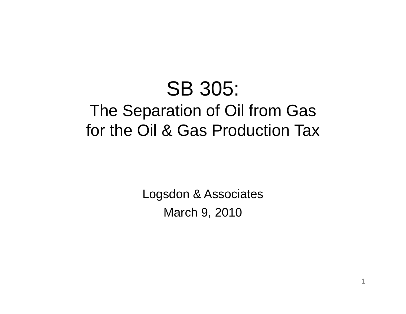# SB 305: The Separation of Oil from Gas for the Oil & Gas Production Tax

Logsdon & Associates March 9, 2010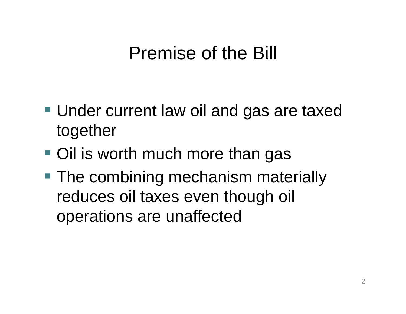# Premise of the Bill

- Under current law oil and gas are taxed to gethe r
- Oil is worth much more than gas
- $\blacksquare$  The combining mechanism materially reduces oil taxes even though oil operations are unaffected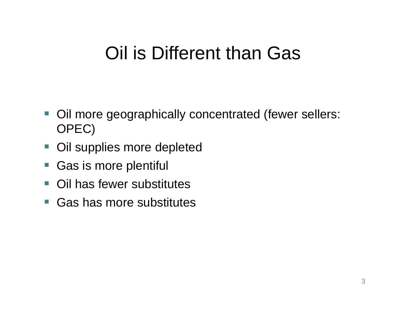# Oil is Different than Gas

- Oil more geographically concentrated (fewer sellers: OPEC)
- Oil supplies more depleted
- Gas is more plentiful
- $\left\vert \cdot\right\vert$ Oil has fewer substitutes
- Gas has more substitutes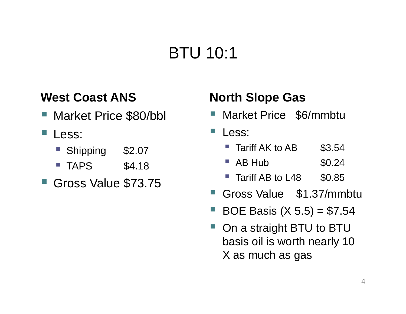# BTU 10:1

#### **West Coast ANS North Slope Gas**

- Market Price \$80/bbl
- Less:
	- Shipping \$2.07
	- $\blacksquare$  TAPS  $$4.18$
- $\blacksquare$  Gross Value \$73.75  $\blacksquare$  Tariff AB to L48  $\blacksquare$  \$0.85

- Market Price \$6/mmbtu
- Less:
	- Tariff AK to AB \$3.54
	- $\blacksquare$  AB Hub  $$0.24$
	- Tariff AB to L48
- Gross Value \$1.37/mmbtu
- F BOE Basis  $(X 5.5) = $7.54$
- F On a straight BTU to BTU basis oil is worth nearly 10 X as much as gas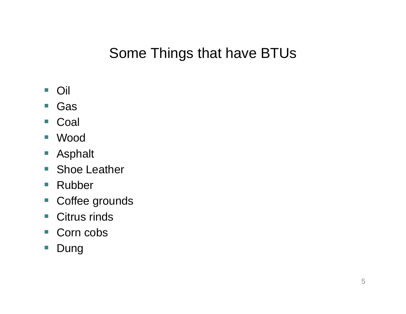## Some Things that have BTUs

- Oil
- Gas
- Coal
- $\mathcal{L}_{\mathcal{A}}$ Wood
- Asphalt
- **Shoe Leather**
- Rubber
- $\mathcal{L}_{\mathcal{A}}$ Coffee grounds
- Citrus rinds
- $\mathcal{L}_{\mathcal{A}}$ ■ Corn cobs
- Dung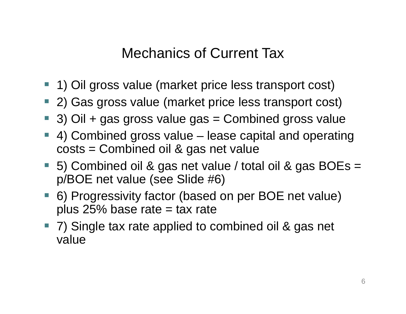### Mechanics of Current Tax

- 1) Oil gross value (market price less transport cost)
- 2) Gas gross value (market price less transport cost)
- 3) Oil + gas gross value gas = Combined gross value
- 4) Combined gross value – lease capital and operating costs = Combined oil & gas net value
- 5) Combined oil & gas net value / total oil & gas BOEs = p/BOE net value (see Slide #6)
- 6) Progressivity factor (based on per BOE net value) plus 25% base rate  $=$  tax rate
- **Service Service**  7) Single tax rate applied to combined oil & gas net value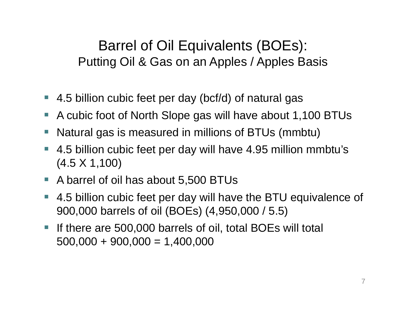Barrel of Oil Equivalents (BOEs): Putting Oil & Gas on an Apples / Apples Basis

- $-4.5$  billion cubic feet per day (bcf/d) of natural gas
- $\mathbb{R}^3$ A cubic foot of North Slope gas will have about 1,100 BTUs
- ■ Natural gas is measured in millions of BTUs (mmbtu)
- 4.5 billion cubic feet per day will have 4.95 million mmbtu's (4.5 X 1,100)
- $\mathcal{L}^{\mathcal{A}}$ A barrel of oil has about 5,500 BTUs
- $\mathcal{L}_{\mathcal{A}}$  4.5 billion cubic feet per day will have the BTU equivalence of 900,000 barrels of oil (BOEs) (4,950,000 / 5.5)
- $\mathcal{L}_{\mathcal{A}}$  If there are 500,000 barrels of oil, total BOEs will total  $500,000 + 900,000 = 1,400,000$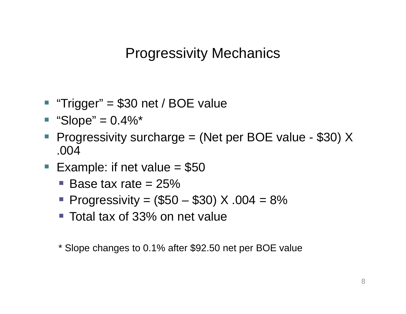**Progressivity Mechanics** 

- "Trigger" = \$30 net / BOE value
- $\blacksquare$  "Slope" = 0.4%\*
- Progressivity surcharge  $=$  (Net per BOE value - \$30) X .004
- $\mathcal{L}_{\mathcal{A}}$ Example: if net value  $= $50$ 
	- $\blacksquare$  Base tax rate = 25%
	- **Progressivity = (\$50 \$30) X .004 = 8%**
	- Total tax of 33% on net value

\* Slope changes to 0.1% after \$92.50 net per BOE value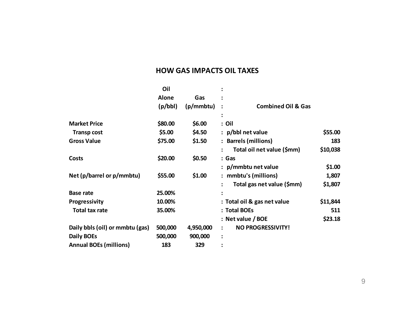#### **HOW GAS IMPACTS OIL TAXES**

|                                 | Oil               |           |                                                 |          |
|---------------------------------|-------------------|-----------|-------------------------------------------------|----------|
|                                 | <b>Alone</b>      | Gas       |                                                 |          |
|                                 | (p/bbl)           | (p/mmbtu) | <b>Combined Oil &amp; Gas</b><br>$\ddot{\cdot}$ |          |
|                                 |                   |           |                                                 |          |
| <b>Market Price</b>             | \$80.00           | \$6.00    | : Oil                                           |          |
| <b>Transp cost</b>              | \$5.00            | \$4.50    | $:$ p/bbl net value                             | \$55.00  |
| <b>Gross Value</b>              | \$75.00           | \$1.50    | : Barrels (millions)                            | 183      |
|                                 |                   |           | Total oil net value (\$mm)                      | \$10,038 |
| Costs                           | \$20.00<br>\$0.50 |           | : Gas                                           |          |
|                                 |                   |           | $: p/m$ mbtu net value                          | \$1.00   |
| Net (p/barrel or p/mmbtu)       | \$55.00<br>\$1.00 |           | : mmbtu's (millions)                            | 1,807    |
|                                 |                   |           | Total gas net value (\$mm)                      | \$1,807  |
| <b>Base rate</b>                | 25.00%            |           |                                                 |          |
| Progressivity                   | 10.00%            |           | : Total oil & gas net value                     | \$11,844 |
| <b>Total tax rate</b>           | 35.00%            |           | : Total BOEs                                    | 511      |
|                                 |                   |           | : Net value / BOE                               | \$23.18  |
| Daily bbls (oil) or mmbtu (gas) | 500,000           | 4,950,000 | <b>NO PROGRESSIVITY!</b>                        |          |
| <b>Daily BOEs</b>               | 500,000           | 900,000   |                                                 |          |
| <b>Annual BOEs (millions)</b>   | 183               | 329       |                                                 |          |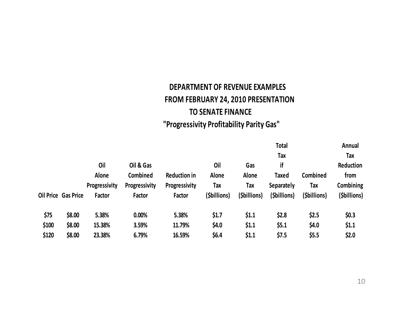#### **DEPARTMENT OF REVENUE EXAMPLES FROM FEBRUARY 24, 2010 PRESENTATION TO SENATE FINANCE "Progressivity Profitability Parity Gas"**

|       |                            |               |               |                     |              |              | <b>Total</b><br><b>Tax</b> |              | Annual<br><b>Tax</b> |
|-------|----------------------------|---------------|---------------|---------------------|--------------|--------------|----------------------------|--------------|----------------------|
|       |                            |               |               |                     |              |              |                            |              |                      |
|       |                            | Oil           | Oil & Gas     |                     | Oil          | Gas          | if                         |              | Reduction            |
|       |                            | Alone         | Combined      | <b>Reduction in</b> | Alone        | Alone        | Taxed                      | Combined     | from                 |
|       |                            | Progressivity | Progressivity | Progressivity       | Tax          | Tax          | <b>Separately</b>          | <b>Tax</b>   | Combining            |
|       | <b>Oil Price Gas Price</b> | Factor        | Factor        | Factor              | (\$billions) | (\$billions) | (\$billions)               | (\$billions) | (\$billions)         |
| \$75  | \$8.00                     | 5.38%         | 0.00%         | 5.38%               | \$1.7        | \$1.1        | \$2.8                      | \$2.5        | \$0.3                |
| \$100 | \$8.00                     | 15.38%        | 3.59%         | 11.79%              | \$4.0\$      | \$1.1        | \$5.1                      | \$4.0        | \$1.1                |
| \$120 | \$8.00                     | 23.38%        | 6.79%         | 16.59%              | \$6.4\$      | \$1.1        | \$7.5                      | \$5.5        | \$2.0                |